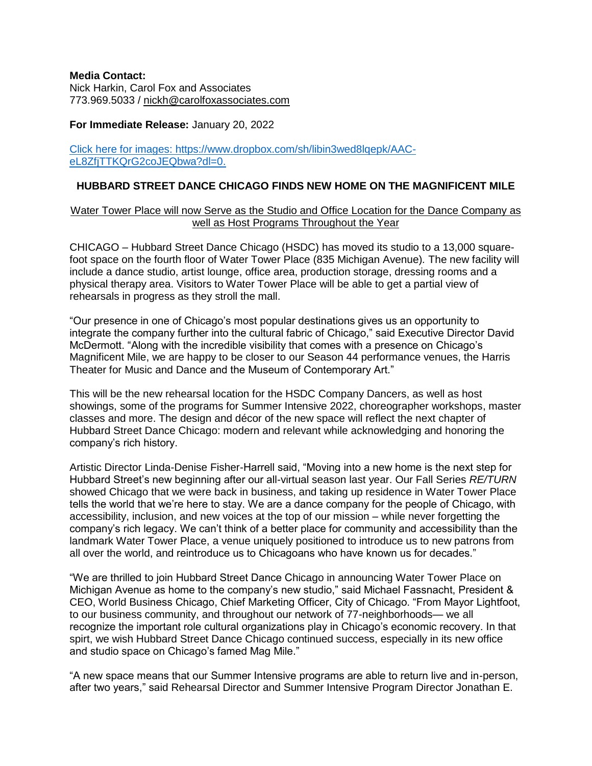# **Media Contact:**

Nick Harkin, Carol Fox and Associates 773.969.5033 / [nickh@carolfoxassociates.com](mailto:nickh@carolfoxassociates.com)

# **For Immediate Release:** January 20, 2022

# [Click here for images: https://www.dropbox.com/sh/libin3wed8lqepk/AAC](https://www.dropbox.com/sh/libin3wed8lqepk/AAC-eL8ZfjTTKQrG2coJEQbwa?dl=0)eL8ZfiTTKQrG2coJEQbwa?dl=0.

# **HUBBARD STREET DANCE CHICAGO FINDS NEW HOME ON THE MAGNIFICENT MILE**

# Water Tower Place will now Serve as the Studio and Office Location for the Dance Company as well as Host Programs Throughout the Year

CHICAGO – Hubbard Street Dance Chicago (HSDC) has moved its studio to a 13,000 squarefoot space on the fourth floor of Water Tower Place (835 Michigan Avenue)*.* The new facility will include a dance studio, artist lounge, office area, production storage, dressing rooms and a physical therapy area. Visitors to Water Tower Place will be able to get a partial view of rehearsals in progress as they stroll the mall.

"Our presence in one of Chicago's most popular destinations gives us an opportunity to integrate the company further into the cultural fabric of Chicago," said Executive Director David McDermott. "Along with the incredible visibility that comes with a presence on Chicago's Magnificent Mile, we are happy to be closer to our Season 44 performance venues, the Harris Theater for Music and Dance and the Museum of Contemporary Art."

This will be the new rehearsal location for the HSDC Company Dancers, as well as host showings, some of the programs for Summer Intensive 2022, choreographer workshops, master classes and more. The design and décor of the new space will reflect the next chapter of Hubbard Street Dance Chicago: modern and relevant while acknowledging and honoring the company's rich history.

Artistic Director Linda-Denise Fisher-Harrell said, "Moving into a new home is the next step for Hubbard Street's new beginning after our all-virtual season last year. Our Fall Series *RE/TURN* showed Chicago that we were back in business, and taking up residence in Water Tower Place tells the world that we're here to stay. We are a dance company for the people of Chicago, with accessibility, inclusion, and new voices at the top of our mission – while never forgetting the company's rich legacy. We can't think of a better place for community and accessibility than the landmark Water Tower Place, a venue uniquely positioned to introduce us to new patrons from all over the world, and reintroduce us to Chicagoans who have known us for decades."

"We are thrilled to join Hubbard Street Dance Chicago in announcing Water Tower Place on Michigan Avenue as home to the company's new studio," said Michael Fassnacht, President & CEO, World Business Chicago, Chief Marketing Officer, City of Chicago. "From Mayor Lightfoot, to our business community, and throughout our network of 77-neighborhoods— we all recognize the important role cultural organizations play in Chicago's economic recovery. In that spirt, we wish Hubbard Street Dance Chicago continued success, especially in its new office and studio space on Chicago's famed Mag Mile."

"A new space means that our Summer Intensive programs are able to return live and in-person, after two years," said Rehearsal Director and Summer Intensive Program Director Jonathan E.